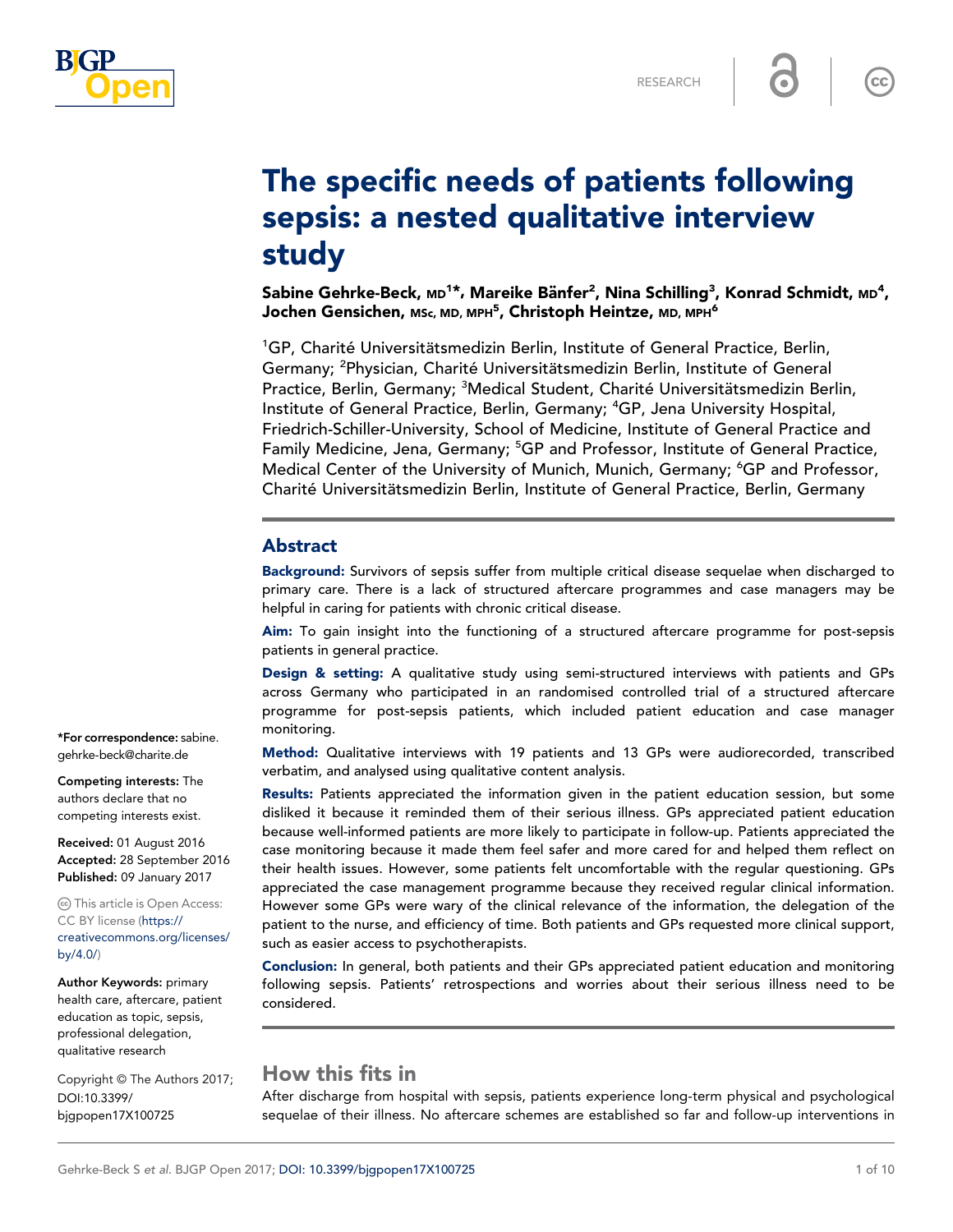

 $\overline{\mathsf{cc}}$ 

# The specific needs of patients following sepsis: a nested qualitative interview study

Sabine Gehrke-Beck, м $\tt{D}^{1*}$ , Mareike Bänfer $^2$ , Nina Schilling $^3$ , Konrad Schmidt, м $\tt{D}^4$ , Jochen Gensichen, мѕс, мɒ, мPн $^{\bf 5}$ , Christoph Heintze, мɒ, мPн $^{\bf 6}$ 

<sup>1</sup>GP, Charité Universitätsmedizin Berlin, Institute of General Practice, Berlin, Germany; <sup>2</sup>Physician, Charité Universitätsmedizin Berlin, Institute of General Practice, Berlin, Germany; <sup>3</sup>Medical Student, Charité Universitätsmedizin Berlin, Institute of General Practice, Berlin, Germany; <sup>4</sup>GP, Jena University Hospital, Friedrich-Schiller-University, School of Medicine, Institute of General Practice and Family Medicine, Jena, Germany; <sup>5</sup>GP and Professor, Institute of General Practice, Medical Center of the University of Munich, Munich, Germany; <sup>6</sup>GP and Professor, Charité Universitätsmedizin Berlin, Institute of General Practice, Berlin, Germany

## Abstract

Background: Survivors of sepsis suffer from multiple critical disease sequelae when discharged to primary care. There is a lack of structured aftercare programmes and case managers may be helpful in caring for patients with chronic critical disease.

Aim: To gain insight into the functioning of a structured aftercare programme for post-sepsis patients in general practice.

Design & setting: A qualitative study using semi-structured interviews with patients and GPs across Germany who participated in an randomised controlled trial of a structured aftercare programme for post-sepsis patients, which included patient education and case manager monitoring.

Method: Qualitative interviews with 19 patients and 13 GPs were audiorecorded, transcribed verbatim, and analysed using qualitative content analysis.

Results: Patients appreciated the information given in the patient education session, but some disliked it because it reminded them of their serious illness. GPs appreciated patient education because well-informed patients are more likely to participate in follow-up. Patients appreciated the case monitoring because it made them feel safer and more cared for and helped them reflect on their health issues. However, some patients felt uncomfortable with the regular questioning. GPs appreciated the case management programme because they received regular clinical information. However some GPs were wary of the clinical relevance of the information, the delegation of the patient to the nurse, and efficiency of time. Both patients and GPs requested more clinical support, such as easier access to psychotherapists.

Conclusion: In general, both patients and their GPs appreciated patient education and monitoring following sepsis. Patients' retrospections and worries about their serious illness need to be considered.

# How this fits in

After discharge from hospital with sepsis, patients experience long-term physical and psychological sequelae of their illness. No aftercare schemes are established so far and follow-up interventions in

\*For correspondence: sabine. gehrke-beck@charite.de

Competing interests: The authors declare that no competing interests exist.

Received: 01 August 2016 Accepted: 28 September 2016 Published: 09 January 2017

This article is Open Access: CC BY license ([https://](http://creativecommons.org/licences/by/4.0/) [creativecommons.org/licenses/](http://creativecommons.org/licences/by/4.0/) [by/4.0/\)](http://creativecommons.org/licences/by/4.0/)

Author Keywords: primary health care, aftercare, patient education as topic, sepsis, professional delegation, qualitative research

DOI:10.3399/ bjgpopen17X100725 Copyright © The Authors 2017;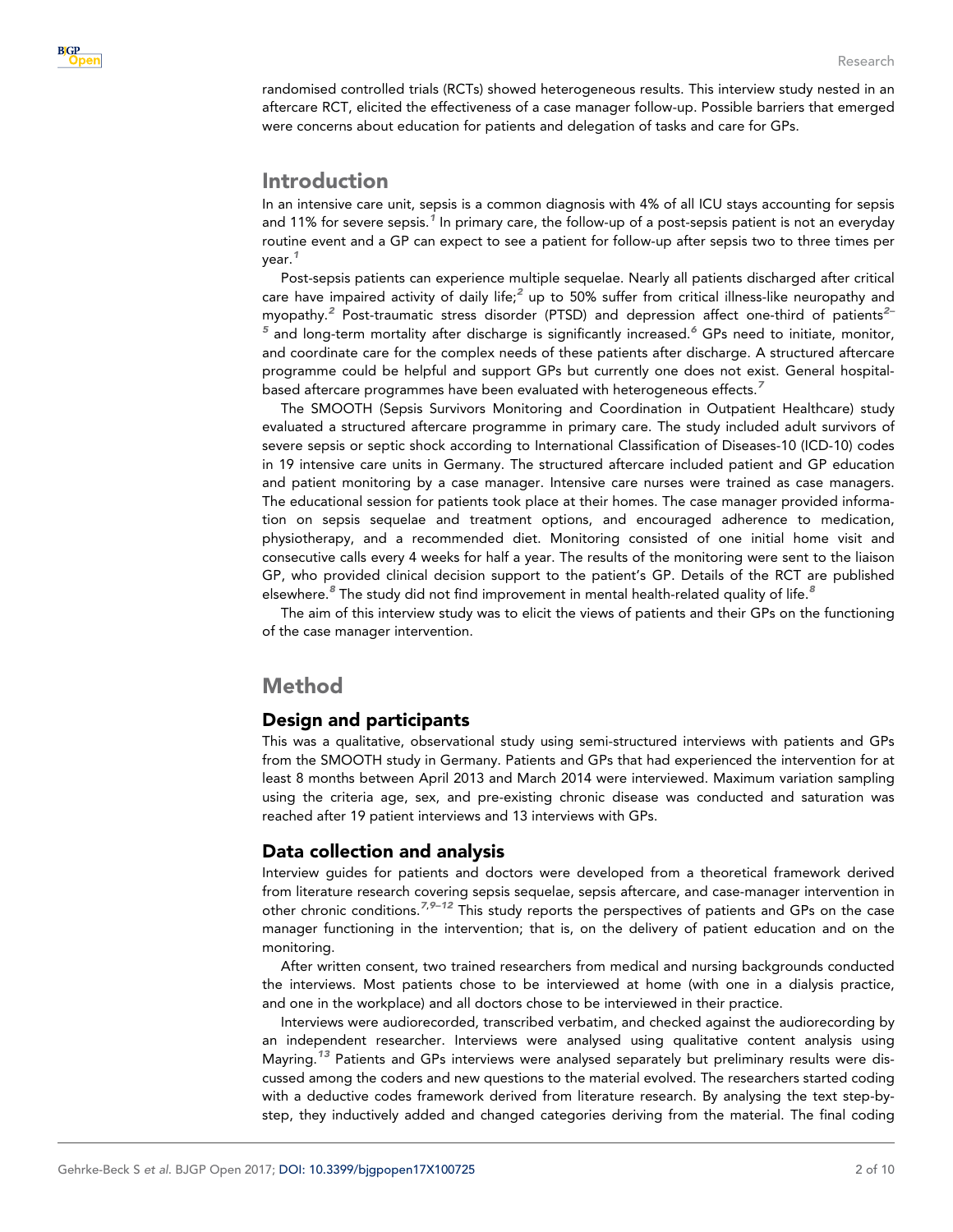

randomised controlled trials (RCTs) showed heterogeneous results. This interview study nested in an aftercare RCT, elicited the effectiveness of a case manager follow-up. Possible barriers that emerged were concerns about education for patients and delegation of tasks and care for GPs.

## Introduction

In an intensive care unit, sepsis is a common diagnosis with 4% of all ICU stays accounting for sepsis and [1](#page-8-0)1% for severe sepsis.<sup>1</sup> In primary care, the follow-up of a post-sepsis patient is not an everyday routine event and a GP can expect to see a patient for follow-up after sepsis two to three times per year.<sup>[1](#page-8-0)</sup>

Post-sepsis patients can experience multiple sequelae. Nearly all patients discharged after critical care have impaired activity of daily life;<sup>[2](#page-8-0)</sup> up to 50% suffer from critical illness-like neuropathy and myopathy.<sup>[2](#page-8-0)</sup> Post-traumatic stress disorder (PTSD) and depression affect one-third of patients<sup>2-</sup>  $5$  and long-term mortality after discharge is significantly increased.<sup>[6](#page-8-0)</sup> GPs need to initiate, monitor, and coordinate care for the complex needs of these patients after discharge. A structured aftercare programme could be helpful and support GPs but currently one does not exist. General hospital-based aftercare programmes have been evaluated with heterogeneous effects.<sup>[7](#page-8-0)</sup>

The SMOOTH (Sepsis Survivors Monitoring and Coordination in Outpatient Healthcare) study evaluated a structured aftercare programme in primary care. The study included adult survivors of severe sepsis or septic shock according to International Classification of Diseases-10 (ICD-10) codes in 19 intensive care units in Germany. The structured aftercare included patient and GP education and patient monitoring by a case manager. Intensive care nurses were trained as case managers. The educational session for patients took place at their homes. The case manager provided information on sepsis sequelae and treatment options, and encouraged adherence to medication, physiotherapy, and a recommended diet. Monitoring consisted of one initial home visit and consecutive calls every 4 weeks for half a year. The results of the monitoring were sent to the liaison GP, who provided clinical decision support to the patient's GP. Details of the RCT are published elsewhere. <sup>[8](#page-8-0)</sup> The study did not find improvement in mental health-related quality of life. <sup>8</sup>

The aim of this interview study was to elicit the views of patients and their GPs on the functioning of the case manager intervention.

# Method

## Design and participants

This was a qualitative, observational study using semi-structured interviews with patients and GPs from the SMOOTH study in Germany. Patients and GPs that had experienced the intervention for at least 8 months between April 2013 and March 2014 were interviewed. Maximum variation sampling using the criteria age, sex, and pre-existing chronic disease was conducted and saturation was reached after 19 patient interviews and 13 interviews with GPs.

## Data collection and analysis

Interview guides for patients and doctors were developed from a theoretical framework derived from literature research covering sepsis sequelae, sepsis aftercare, and case-manager intervention in other chronic conditions.<sup>[7](#page-8-0),9–12</sup> This study reports the perspectives of patients and GPs on the case manager functioning in the intervention; that is, on the delivery of patient education and on the monitoring.

After written consent, two trained researchers from medical and nursing backgrounds conducted the interviews. Most patients chose to be interviewed at home (with one in a dialysis practice, and one in the workplace) and all doctors chose to be interviewed in their practice.

Interviews were audiorecorded, transcribed verbatim, and checked against the audiorecording by an independent researcher. Interviews were analysed using qualitative content analysis using Mayring.<sup>[13](#page-9-0)</sup> Patients and GPs interviews were analysed separately but preliminary results were discussed among the coders and new questions to the material evolved. The researchers started coding with a deductive codes framework derived from literature research. By analysing the text step-bystep, they inductively added and changed categories deriving from the material. The final coding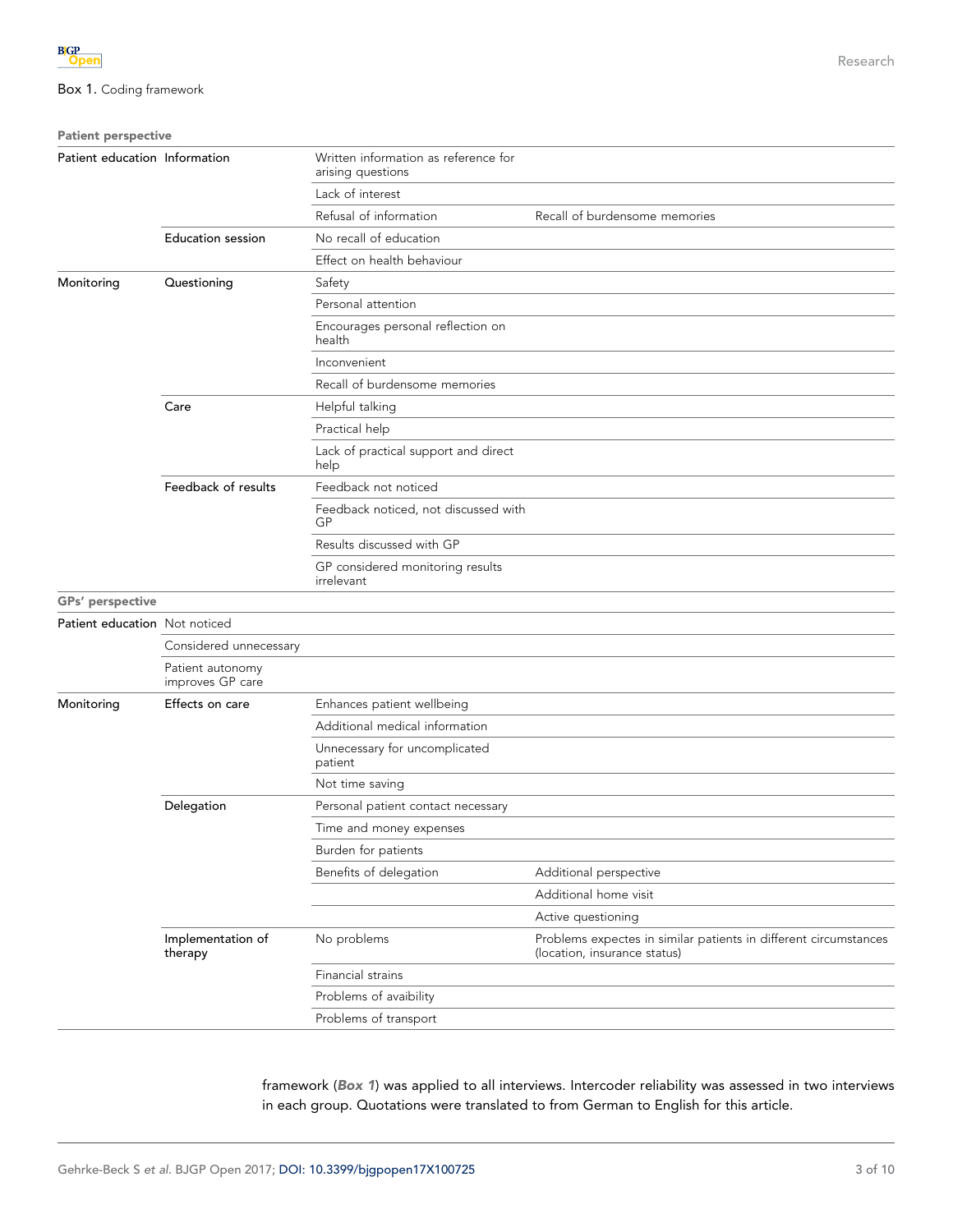| <b>Patient perspective</b>                                             |                                      |                                                           |                                                                                                  |
|------------------------------------------------------------------------|--------------------------------------|-----------------------------------------------------------|--------------------------------------------------------------------------------------------------|
| Patient education Information                                          |                                      | Written information as reference for<br>arising questions |                                                                                                  |
|                                                                        |                                      | Lack of interest                                          |                                                                                                  |
|                                                                        |                                      | Refusal of information                                    | Recall of burdensome memories                                                                    |
|                                                                        | <b>Education session</b>             | No recall of education                                    |                                                                                                  |
|                                                                        |                                      | Effect on health behaviour                                |                                                                                                  |
| Monitoring                                                             | Questioning                          | Safety                                                    |                                                                                                  |
|                                                                        |                                      | Personal attention                                        |                                                                                                  |
|                                                                        |                                      | Encourages personal reflection on<br>health               |                                                                                                  |
|                                                                        |                                      | Inconvenient                                              |                                                                                                  |
|                                                                        |                                      | Recall of burdensome memories                             |                                                                                                  |
|                                                                        | Care                                 | Helpful talking                                           |                                                                                                  |
|                                                                        |                                      | Practical help                                            |                                                                                                  |
|                                                                        |                                      | Lack of practical support and direct<br>help              |                                                                                                  |
|                                                                        | Feedback of results                  | Feedback not noticed                                      |                                                                                                  |
|                                                                        |                                      | Feedback noticed, not discussed with<br>GP                |                                                                                                  |
|                                                                        |                                      | Results discussed with GP                                 |                                                                                                  |
|                                                                        |                                      | GP considered monitoring results<br>irrelevant            |                                                                                                  |
|                                                                        |                                      |                                                           |                                                                                                  |
|                                                                        |                                      |                                                           |                                                                                                  |
|                                                                        | Considered unnecessary               |                                                           |                                                                                                  |
|                                                                        | Patient autonomy<br>improves GP care |                                                           |                                                                                                  |
| <b>GPs'</b> perspective<br>Patient education Not noticed<br>Monitoring | Effects on care                      | Enhances patient wellbeing                                |                                                                                                  |
|                                                                        |                                      | Additional medical information                            |                                                                                                  |
|                                                                        |                                      | Unnecessary for uncomplicated<br>patient                  |                                                                                                  |
|                                                                        |                                      | Not time saving                                           |                                                                                                  |
|                                                                        | Delegation                           | Personal patient contact necessary                        |                                                                                                  |
|                                                                        |                                      | Time and money expenses                                   |                                                                                                  |
|                                                                        |                                      | Burden for patients                                       |                                                                                                  |
|                                                                        |                                      | Benefits of delegation                                    | Additional perspective                                                                           |
|                                                                        |                                      |                                                           | Additional home visit                                                                            |
|                                                                        |                                      |                                                           | Active questioning                                                                               |
|                                                                        | Implementation of<br>therapy         | No problems                                               | Problems expectes in similar patients in different circumstances<br>(location, insurance status) |
|                                                                        |                                      | Financial strains                                         |                                                                                                  |
|                                                                        |                                      | Problems of avaibility                                    |                                                                                                  |
|                                                                        |                                      | Problems of transport                                     |                                                                                                  |

framework (Box 1) was applied to all interviews. Intercoder reliability was assessed in two interviews in each group. Quotations were translated to from German to English for this article.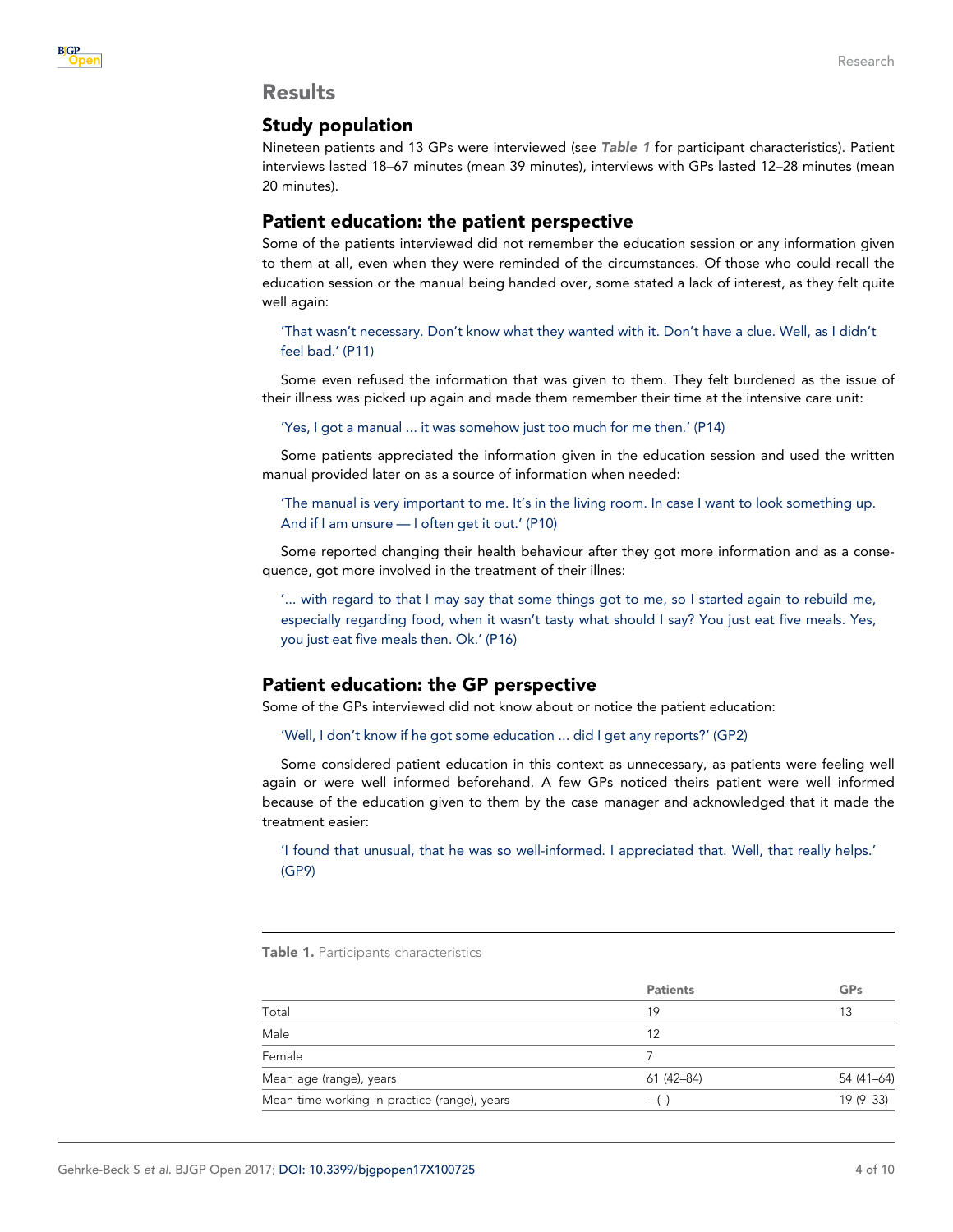## Results

## Study population

Nineteen patients and 13 GPs were interviewed (see Table 1 for participant characteristics). Patient interviews lasted 18–67 minutes (mean 39 minutes), interviews with GPs lasted 12–28 minutes (mean 20 minutes).

## Patient education: the patient perspective

Some of the patients interviewed did not remember the education session or any information given to them at all, even when they were reminded of the circumstances. Of those who could recall the education session or the manual being handed over, some stated a lack of interest, as they felt quite well again:

'That wasn't necessary. Don't know what they wanted with it. Don't have a clue. Well, as I didn't feel bad.' (P11)

Some even refused the information that was given to them. They felt burdened as the issue of their illness was picked up again and made them remember their time at the intensive care unit:

'Yes, I got a manual ... it was somehow just too much for me then.' (P14)

Some patients appreciated the information given in the education session and used the written manual provided later on as a source of information when needed:

'The manual is very important to me. It's in the living room. In case I want to look something up. And if I am unsure — I often get it out.' (P10)

Some reported changing their health behaviour after they got more information and as a consequence, got more involved in the treatment of their illnes:

'... with regard to that I may say that some things got to me, so I started again to rebuild me, especially regarding food, when it wasn't tasty what should I say? You just eat five meals. Yes, you just eat five meals then. Ok.' (P16)

## Patient education: the GP perspective

Some of the GPs interviewed did not know about or notice the patient education:

'Well, I don't know if he got some education ... did I get any reports?' (GP2)

Some considered patient education in this context as unnecessary, as patients were feeling well again or were well informed beforehand. A few GPs noticed theirs patient were well informed because of the education given to them by the case manager and acknowledged that it made the treatment easier:

'I found that unusual, that he was so well-informed. I appreciated that. Well, that really helps.' (GP9)

Table 1. Participants characteristics

|                                              | <b>Patients</b> | GPs        |
|----------------------------------------------|-----------------|------------|
| Total                                        | 19              | 13         |
| Male                                         | 12              |            |
| Female                                       |                 |            |
| Mean age (range), years                      | 61 (42-84)      | 54 (41-64) |
| Mean time working in practice (range), years | $-(-)$          | $19(9-33)$ |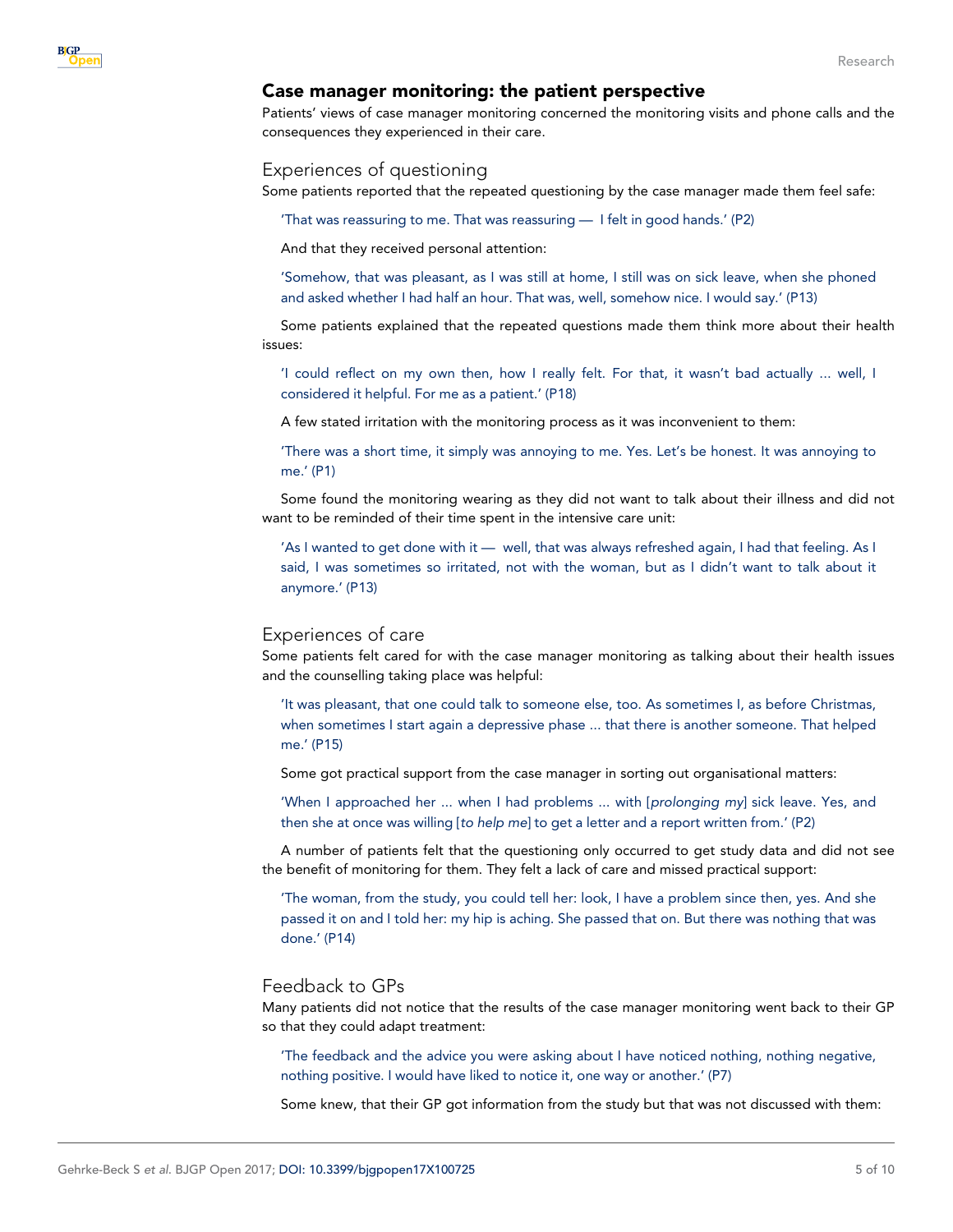## Case manager monitoring: the patient perspective

Patients' views of case manager monitoring concerned the monitoring visits and phone calls and the consequences they experienced in their care.

## Experiences of questioning

Some patients reported that the repeated questioning by the case manager made them feel safe:

'That was reassuring to me. That was reassuring — I felt in good hands.' (P2)

And that they received personal attention:

'Somehow, that was pleasant, as I was still at home, I still was on sick leave, when she phoned and asked whether I had half an hour. That was, well, somehow nice. I would say.' (P13)

Some patients explained that the repeated questions made them think more about their health issues:

'I could reflect on my own then, how I really felt. For that, it wasn't bad actually ... well, I considered it helpful. For me as a patient.' (P18)

A few stated irritation with the monitoring process as it was inconvenient to them:

'There was a short time, it simply was annoying to me. Yes. Let's be honest. It was annoying to me.' (P1)

Some found the monitoring wearing as they did not want to talk about their illness and did not want to be reminded of their time spent in the intensive care unit:

'As I wanted to get done with it — well, that was always refreshed again, I had that feeling. As I said, I was sometimes so irritated, not with the woman, but as I didn't want to talk about it anymore.' (P13)

#### Experiences of care

Some patients felt cared for with the case manager monitoring as talking about their health issues and the counselling taking place was helpful:

'It was pleasant, that one could talk to someone else, too. As sometimes I, as before Christmas, when sometimes I start again a depressive phase ... that there is another someone. That helped me.' (P15)

Some got practical support from the case manager in sorting out organisational matters:

'When I approached her ... when I had problems ... with [prolonging my] sick leave. Yes, and then she at once was willing [to help me] to get a letter and a report written from.' (P2)

A number of patients felt that the questioning only occurred to get study data and did not see the benefit of monitoring for them. They felt a lack of care and missed practical support:

'The woman, from the study, you could tell her: look, I have a problem since then, yes. And she passed it on and I told her: my hip is aching. She passed that on. But there was nothing that was done.' (P14)

## Feedback to GPs

Many patients did not notice that the results of the case manager monitoring went back to their GP so that they could adapt treatment:

'The feedback and the advice you were asking about I have noticed nothing, nothing negative, nothing positive. I would have liked to notice it, one way or another.' (P7)

Some knew, that their GP got information from the study but that was not discussed with them: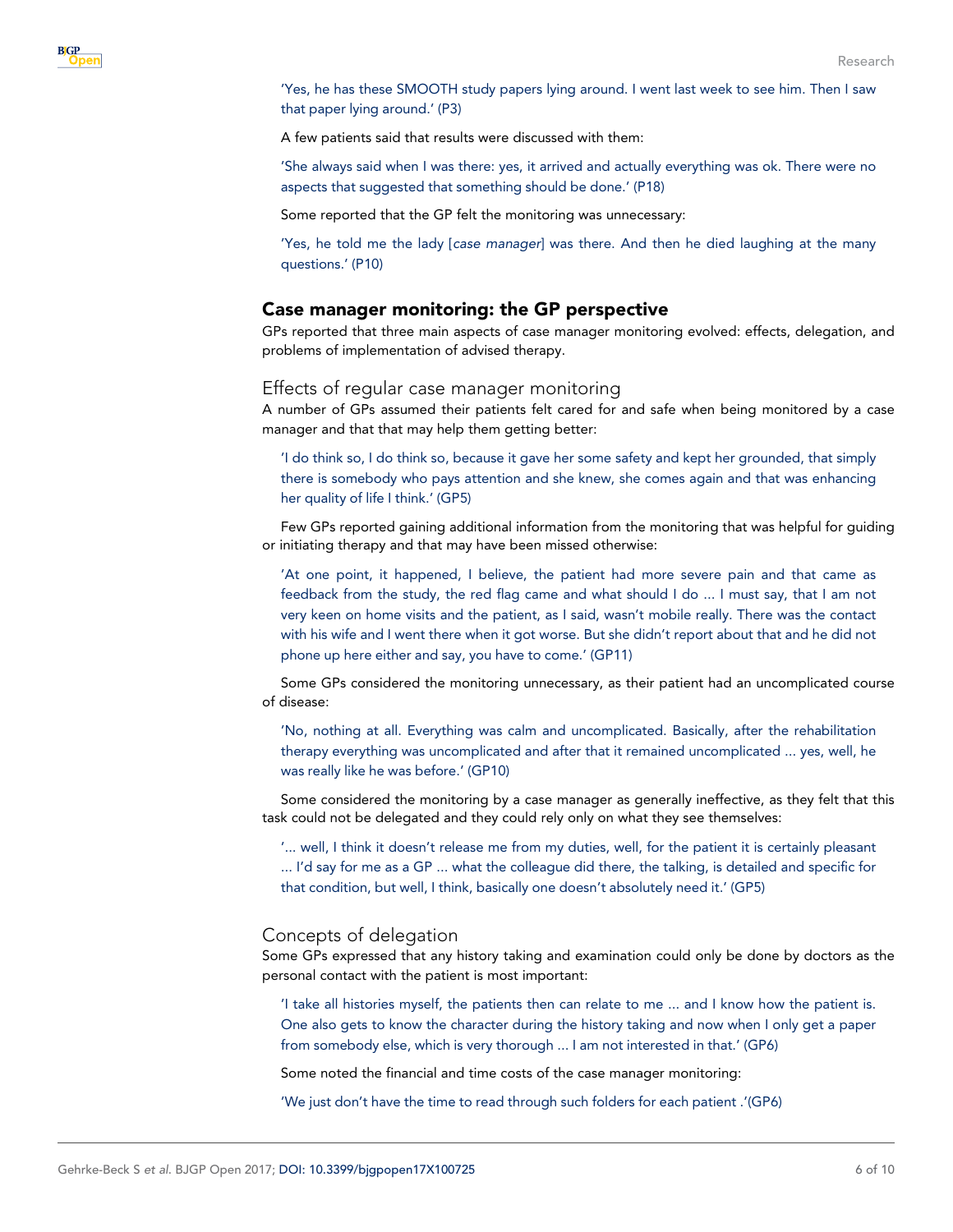'Yes, he has these SMOOTH study papers lying around. I went last week to see him. Then I saw that paper lying around.' (P3)

A few patients said that results were discussed with them:

'She always said when I was there: yes, it arrived and actually everything was ok. There were no aspects that suggested that something should be done.' (P18)

Some reported that the GP felt the monitoring was unnecessary:

'Yes, he told me the lady [case manager] was there. And then he died laughing at the many questions.' (P10)

## Case manager monitoring: the GP perspective

GPs reported that three main aspects of case manager monitoring evolved: effects, delegation, and problems of implementation of advised therapy.

#### Effects of regular case manager monitoring

A number of GPs assumed their patients felt cared for and safe when being monitored by a case manager and that that may help them getting better:

'I do think so, I do think so, because it gave her some safety and kept her grounded, that simply there is somebody who pays attention and she knew, she comes again and that was enhancing her quality of life I think.' (GP5)

Few GPs reported gaining additional information from the monitoring that was helpful for guiding or initiating therapy and that may have been missed otherwise:

'At one point, it happened, I believe, the patient had more severe pain and that came as feedback from the study, the red flag came and what should I do ... I must say, that I am not very keen on home visits and the patient, as I said, wasn't mobile really. There was the contact with his wife and I went there when it got worse. But she didn't report about that and he did not phone up here either and say, you have to come.' (GP11)

Some GPs considered the monitoring unnecessary, as their patient had an uncomplicated course of disease:

'No, nothing at all. Everything was calm and uncomplicated. Basically, after the rehabilitation therapy everything was uncomplicated and after that it remained uncomplicated ... yes, well, he was really like he was before.' (GP10)

Some considered the monitoring by a case manager as generally ineffective, as they felt that this task could not be delegated and they could rely only on what they see themselves:

'... well, I think it doesn't release me from my duties, well, for the patient it is certainly pleasant ... I'd say for me as a GP ... what the colleague did there, the talking, is detailed and specific for that condition, but well, I think, basically one doesn't absolutely need it.' (GP5)

#### Concepts of delegation

Some GPs expressed that any history taking and examination could only be done by doctors as the personal contact with the patient is most important:

'I take all histories myself, the patients then can relate to me ... and I know how the patient is. One also gets to know the character during the history taking and now when I only get a paper from somebody else, which is very thorough ... I am not interested in that.' (GP6)

Some noted the financial and time costs of the case manager monitoring:

'We just don't have the time to read through such folders for each patient .'(GP6)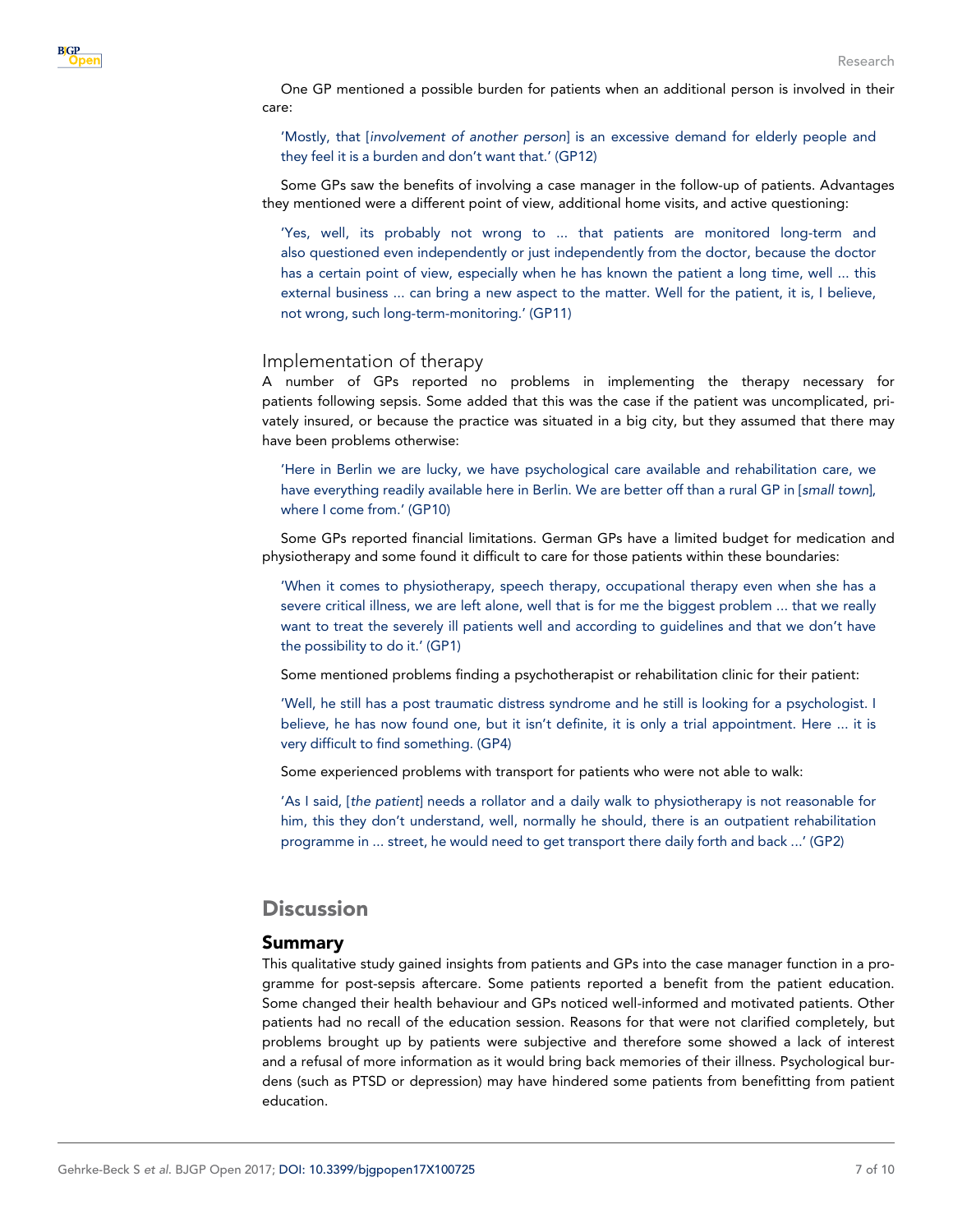One GP mentioned a possible burden for patients when an additional person is involved in their care:

'Mostly, that [involvement of another person] is an excessive demand for elderly people and they feel it is a burden and don't want that.' (GP12)

Some GPs saw the benefits of involving a case manager in the follow-up of patients. Advantages they mentioned were a different point of view, additional home visits, and active questioning:

'Yes, well, its probably not wrong to ... that patients are monitored long-term and also questioned even independently or just independently from the doctor, because the doctor has a certain point of view, especially when he has known the patient a long time, well ... this external business ... can bring a new aspect to the matter. Well for the patient, it is, I believe, not wrong, such long-term-monitoring.' (GP11)

#### Implementation of therapy

A number of GPs reported no problems in implementing the therapy necessary for patients following sepsis. Some added that this was the case if the patient was uncomplicated, privately insured, or because the practice was situated in a big city, but they assumed that there may have been problems otherwise:

'Here in Berlin we are lucky, we have psychological care available and rehabilitation care, we have everything readily available here in Berlin. We are better off than a rural GP in [small town], where I come from.' (GP10)

Some GPs reported financial limitations. German GPs have a limited budget for medication and physiotherapy and some found it difficult to care for those patients within these boundaries:

'When it comes to physiotherapy, speech therapy, occupational therapy even when she has a severe critical illness, we are left alone, well that is for me the biggest problem ... that we really want to treat the severely ill patients well and according to guidelines and that we don't have the possibility to do it.' (GP1)

Some mentioned problems finding a psychotherapist or rehabilitation clinic for their patient:

'Well, he still has a post traumatic distress syndrome and he still is looking for a psychologist. I believe, he has now found one, but it isn't definite, it is only a trial appointment. Here ... it is very difficult to find something. (GP4)

Some experienced problems with transport for patients who were not able to walk:

'As I said, [the patient] needs a rollator and a daily walk to physiotherapy is not reasonable for him, this they don't understand, well, normally he should, there is an outpatient rehabilitation programme in ... street, he would need to get transport there daily forth and back ...' (GP2)

# **Discussion**

## Summary

This qualitative study gained insights from patients and GPs into the case manager function in a programme for post-sepsis aftercare. Some patients reported a benefit from the patient education. Some changed their health behaviour and GPs noticed well-informed and motivated patients. Other patients had no recall of the education session. Reasons for that were not clarified completely, but problems brought up by patients were subjective and therefore some showed a lack of interest and a refusal of more information as it would bring back memories of their illness. Psychological burdens (such as PTSD or depression) may have hindered some patients from benefitting from patient education.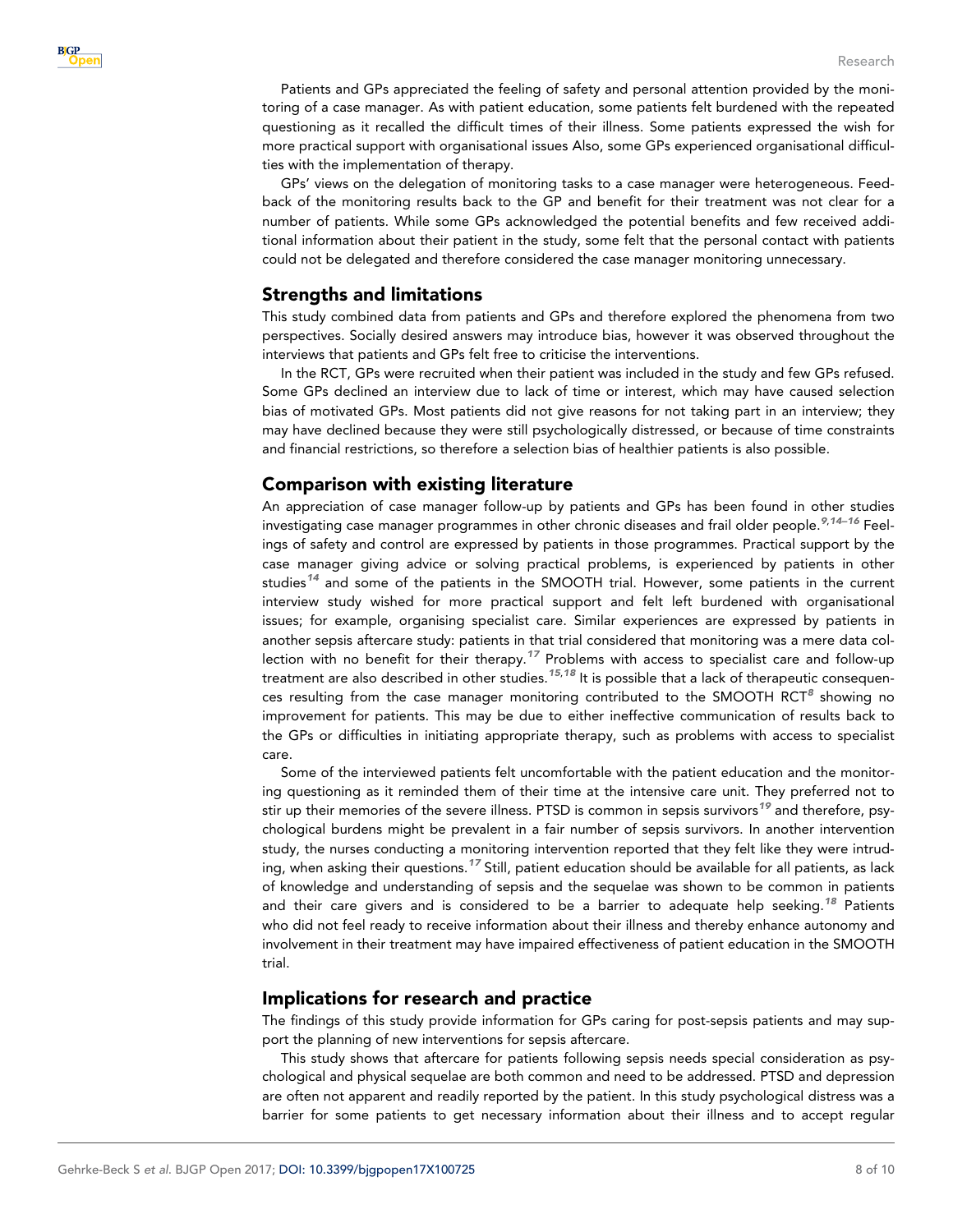Patients and GPs appreciated the feeling of safety and personal attention provided by the monitoring of a case manager. As with patient education, some patients felt burdened with the repeated questioning as it recalled the difficult times of their illness. Some patients expressed the wish for more practical support with organisational issues Also, some GPs experienced organisational difficulties with the implementation of therapy.

GPs' views on the delegation of monitoring tasks to a case manager were heterogeneous. Feedback of the monitoring results back to the GP and benefit for their treatment was not clear for a number of patients. While some GPs acknowledged the potential benefits and few received additional information about their patient in the study, some felt that the personal contact with patients could not be delegated and therefore considered the case manager monitoring unnecessary.

## Strengths and limitations

This study combined data from patients and GPs and therefore explored the phenomena from two perspectives. Socially desired answers may introduce bias, however it was observed throughout the interviews that patients and GPs felt free to criticise the interventions.

In the RCT, GPs were recruited when their patient was included in the study and few GPs refused. Some GPs declined an interview due to lack of time or interest, which may have caused selection bias of motivated GPs. Most patients did not give reasons for not taking part in an interview; they may have declined because they were still psychologically distressed, or because of time constraints and financial restrictions, so therefore a selection bias of healthier patients is also possible.

## Comparison with existing literature

An appreciation of case manager follow-up by patients and GPs has been found in other studies investigating case manager programmes in other chronic diseases and frail older people.<sup>[9](#page-8-0),14-16</sup> Feelings of safety and control are expressed by patients in those programmes. Practical support by the case manager giving advice or solving practical problems, is experienced by patients in other studies<sup>[14](#page-9-0)</sup> and some of the patients in the SMOOTH trial. However, some patients in the current interview study wished for more practical support and felt left burdened with organisational issues; for example, organising specialist care. Similar experiences are expressed by patients in another sepsis aftercare study: patients in that trial considered that monitoring was a mere data col-lection with no benefit for their therapy.<sup>[17](#page-9-0)</sup> Problems with access to specialist care and follow-up treatment are also described in other studies.<sup>[15](#page-9-0),[18](#page-9-0)</sup> It is possible that a lack of therapeutic consequen-ces resulting from the case manager monitoring contributed to the SMOOTH RCT<sup>[8](#page-8-0)</sup> showing no improvement for patients. This may be due to either ineffective communication of results back to the GPs or difficulties in initiating appropriate therapy, such as problems with access to specialist care.

Some of the interviewed patients felt uncomfortable with the patient education and the monitoring questioning as it reminded them of their time at the intensive care unit. They preferred not to stir up their memories of the severe illness. PTSD is common in sepsis survivors<sup>[19](#page-9-0)</sup> and therefore, psychological burdens might be prevalent in a fair number of sepsis survivors. In another intervention study, the nurses conducting a monitoring intervention reported that they felt like they were intrud-ing, when asking their questions.<sup>[17](#page-9-0)</sup> Still, patient education should be available for all patients, as lack of knowledge and understanding of sepsis and the sequelae was shown to be common in patients and their care givers and is considered to be a barrier to adequate help seeking.<sup>[18](#page-9-0)</sup> Patients who did not feel ready to receive information about their illness and thereby enhance autonomy and involvement in their treatment may have impaired effectiveness of patient education in the SMOOTH trial.

## Implications for research and practice

The findings of this study provide information for GPs caring for post-sepsis patients and may support the planning of new interventions for sepsis aftercare.

This study shows that aftercare for patients following sepsis needs special consideration as psychological and physical sequelae are both common and need to be addressed. PTSD and depression are often not apparent and readily reported by the patient. In this study psychological distress was a barrier for some patients to get necessary information about their illness and to accept regular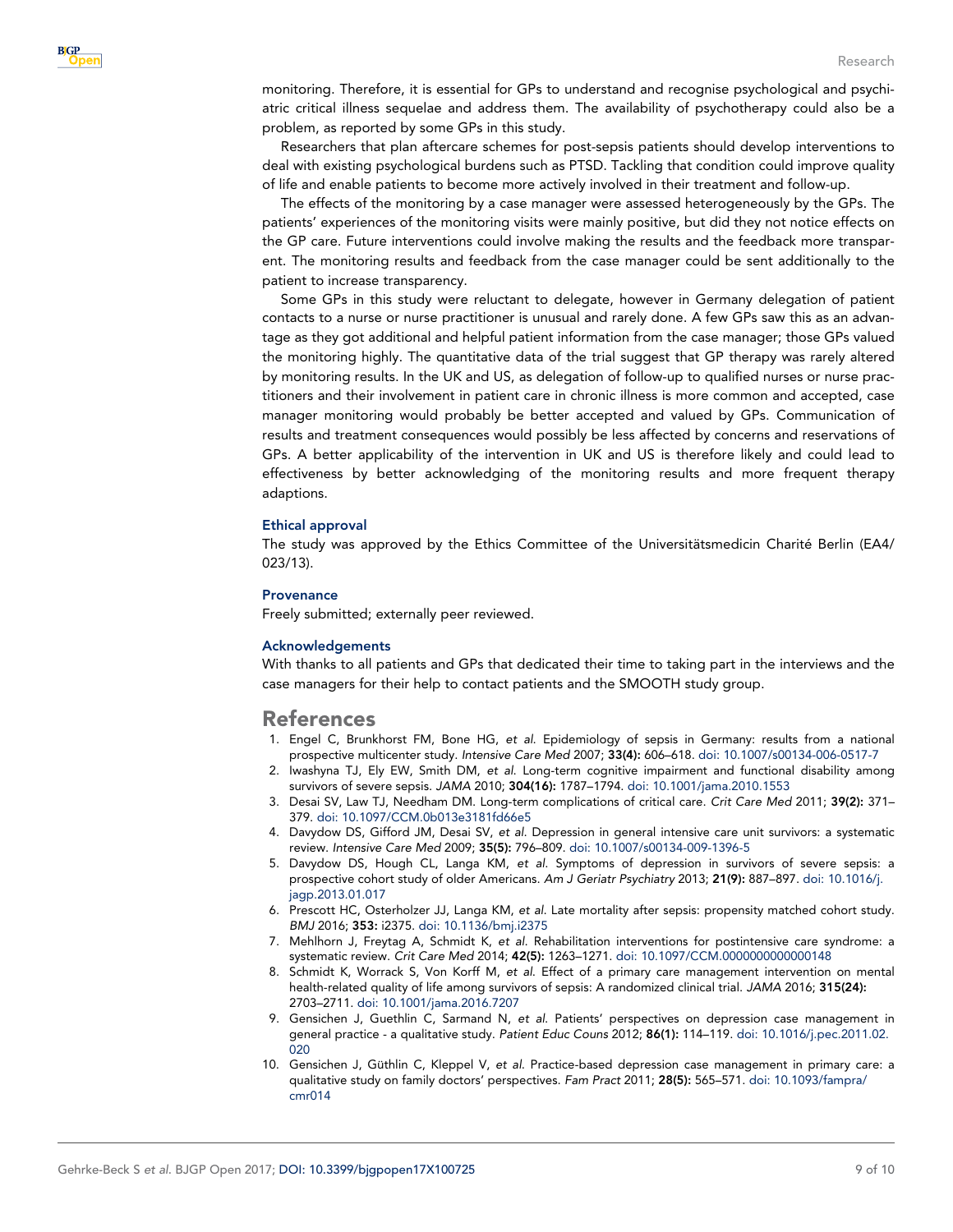<span id="page-8-0"></span>monitoring. Therefore, it is essential for GPs to understand and recognise psychological and psychiatric critical illness sequelae and address them. The availability of psychotherapy could also be a problem, as reported by some GPs in this study.

Researchers that plan aftercare schemes for post-sepsis patients should develop interventions to deal with existing psychological burdens such as PTSD. Tackling that condition could improve quality of life and enable patients to become more actively involved in their treatment and follow-up.

The effects of the monitoring by a case manager were assessed heterogeneously by the GPs. The patients' experiences of the monitoring visits were mainly positive, but did they not notice effects on the GP care. Future interventions could involve making the results and the feedback more transparent. The monitoring results and feedback from the case manager could be sent additionally to the patient to increase transparency.

Some GPs in this study were reluctant to delegate, however in Germany delegation of patient contacts to a nurse or nurse practitioner is unusual and rarely done. A few GPs saw this as an advantage as they got additional and helpful patient information from the case manager; those GPs valued the monitoring highly. The quantitative data of the trial suggest that GP therapy was rarely altered by monitoring results. In the UK and US, as delegation of follow-up to qualified nurses or nurse practitioners and their involvement in patient care in chronic illness is more common and accepted, case manager monitoring would probably be better accepted and valued by GPs. Communication of results and treatment consequences would possibly be less affected by concerns and reservations of GPs. A better applicability of the intervention in UK and US is therefore likely and could lead to effectiveness by better acknowledging of the monitoring results and more frequent therapy adaptions.

#### Ethical approval

The study was approved by the Ethics Committee of the Universitätsmedicin Charité Berlin (EA4/ 023/13).

#### **Provenance**

Freely submitted; externally peer reviewed.

#### Acknowledgements

With thanks to all patients and GPs that dedicated their time to taking part in the interviews and the case managers for their help to contact patients and the SMOOTH study group.

## References

- 1. Engel C, Brunkhorst FM, Bone HG, et al. Epidemiology of sepsis in Germany: results from a national prospective multicenter study. Intensive Care Med 2007; 33(4): 606–618. [doi: 10.1007/s00134-006-0517-7](http://dx.doi.org/10.1007/s00134-006-0517-7)
- 2. Iwashyna TJ, Ely EW, Smith DM, et al. Long-term cognitive impairment and functional disability among survivors of severe sepsis. JAMA 2010; 304(16): 1787–1794. [doi: 10.1001/jama.2010.1553](http://dx.doi.org/10.1001/jama.2010.1553)
- 3. Desai SV, Law TJ, Needham DM. Long-term complications of critical care. Crit Care Med 2011; 39(2): 371– 379. [doi: 10.1097/CCM.0b013e3181fd66e5](http://dx.doi.org/10.1097/CCM.0b013e3181fd66e5)
- 4. Davydow DS, Gifford JM, Desai SV, et al. Depression in general intensive care unit survivors: a systematic review. Intensive Care Med 2009; 35(5): 796–809. [doi: 10.1007/s00134-009-1396-5](http://dx.doi.org/10.1007/s00134-009-1396-5)
- 5. Davydow DS, Hough CL, Langa KM, et al. Symptoms of depression in survivors of severe sepsis: a prospective cohort study of older Americans. Am J Geriatr Psychiatry 2013; 21(9): 887-897. [doi: 10.1016/j.](http://dx.doi.org/10.1016/j.jagp.2013.01.017) [jagp.2013.01.017](http://dx.doi.org/10.1016/j.jagp.2013.01.017)
- 6. Prescott HC, Osterholzer JJ, Langa KM, et al. Late mortality after sepsis: propensity matched cohort study. BMJ 2016; 353: i2375. [doi: 10.1136/bmj.i2375](http://dx.doi.org/10.1136/bmj.i2375)
- 7. Mehlhorn J, Freytag A, Schmidt K, et al. Rehabilitation interventions for postintensive care syndrome: a systematic review. Crit Care Med 2014; 42(5): 1263–1271. [doi: 10.1097/CCM.0000000000000148](http://dx.doi.org/10.1097/CCM.0000000000000148)
- 8. Schmidt K, Worrack S, Von Korff M, et al. Effect of a primary care management intervention on mental health-related quality of life among survivors of sepsis: A randomized clinical trial. JAMA 2016; 315(24): 2703–2711. [doi: 10.1001/jama.2016.7207](http://dx.doi.org/10.1001/jama.2016.7207)
- 9. Gensichen J, Guethlin C, Sarmand N, et al. Patients' perspectives on depression case management in general practice - a qualitative study. Patient Educ Couns 2012; 86(1): 114–119. [doi: 10.1016/j.pec.2011.02.](http://dx.doi.org/10.1016/j.pec.2011.02.020) [020](http://dx.doi.org/10.1016/j.pec.2011.02.020)
- 10. Gensichen J, Güthlin C, Kleppel V, et *al*. Practice-based depression case management in primary care: a qualitative study on family doctors' perspectives. Fam Pract 2011; 28(5): 565-571. [doi: 10.1093/fampra/](http://dx.doi.org/10.1093/fampra/cmr014) [cmr014](http://dx.doi.org/10.1093/fampra/cmr014)